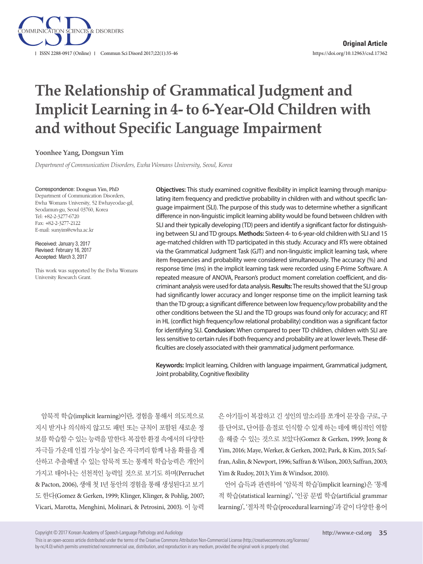

# **The Relationship of Grammatical Judgment and Implicit Learning in 4- to 6-Year-Old Children with and without Specific Language Impairment**

**Yoonhee Yang, Dongsun Yim**

*Department of Communication Disorders, Ewha Womans University, Seoul, Korea*

#### Correspondence: Dongsun Yim, PhD

Department of Communication Disorders, Ewha Womans University, 52 Ewhayeodae-gil, Seodamun-gu, Seoul 03760, Korea Tel: +82-2-3277-6720 Fax: +82-2-3277-2122 E-mail: sunyim@ewha.ac.kr

Received: January 3, 2017 Revised: February 16, 2017 Accepted: March 3, 2017

This work was supported by the Ewha Womans University Research Grant.

**Objectives:** This study examined cognitive flexibility in implicit learning through manipulating item frequency and predictive probability in children with and without specific language impairment (SLI). The purpose of this study was to determine whether a significant difference in non-linguistic implicit learning ability would be found between children with SLI and their typically developing (TD) peers and identify a significant factor for distinguishing between SLI and TD groups. **Methods:** Sixteen 4- to 6-year-old children with SLI and 15 age-matched children with TD participated in this study. Accuracy and RTs were obtained via the Grammatical Judgment Task (GJT) and non-linguistic implicit learning task, where item frequencies and probability were considered simultaneously. The accuracy (%) and response time (ms) in the implicit learning task were recorded using E-Prime Software. A repeated measure of ANOVA, Pearson's product moment correlation coefficient, and discriminant analysis were used for data analysis. **Results:** The results showed that the SLI group had significantly lower accuracy and longer response time on the implicit learning task than the TD group; a significant difference between low frequency/low probability and the other conditions between the SLI and the TD groups was found only for accuracy; and RT in HL (conflict high frequency/low relational probability) condition was a significant factor for identifying SLI. **Conclusion:** When compared to peer TD children, children with SLI are less sensitive to certain rules if both frequency and probability are at lower levels. These difficulties are closely associated with their grammatical judgment performance.

**Keywords:** Implicit learning, Children with language impairment, Grammatical judgment, Joint probability, Cognitive flexibility

암묵적 학습(implicit learning)이란, 경험을 통해서 의도적으로 지시 받거나 의식하지 않고도 패턴 또는 규칙이 포함된 새로운 정 보를 학습할 수 있는 능력을 말한다. 복잡한 환경 속에서의 다양한 자극들 가운데 인접 가능성이 높은 자극끼리 함께 나올 확률을 계 산하고 추출해낼 수 있는 암묵적 또는 통계적 학습능력은 개인이 가지고 태어나는 선천적인 능력일 것으로 보기도 하며(Perruchet & Pacton, 2006), 생애 첫 1년 동안의 경험을 통해 생성된다고 보기 도 한다(Gomez & Gerken, 1999; Klinger, Klinger, & Pohlig, 2007; Vicari, Marotta, Menghini, Molinari, & Petrosini, 2003). 이 능력 은 아기들이 복잡하고 긴 성인의 말소리를 쪼개어 문장을 구로, 구 를 단어로, 단어를 음절로 인식할 수 있게 하는 데에 핵심적인 역할 을 해줄 수 있는 것으로 보았다(Gomez & Gerken, 1999; Jeong & Yim, 2016; Maye, Werker, & Gerken, 2002; Park, & Kim, 2015; Saffran, Aslin, & Newport, 1996; Saffran & Wilson, 2003; Saffran, 2003; Yim & Rudoy, 2013; Yim & Windsor, 2010).

언어 습득과 관련하여 '암묵적 학습'(implicit learning)은 '통계 적 학습(statistical learning)', '인공 문법 학습(artificial grammar learning)', '절차적 학습(procedural learning)'과 같이 다양한 용어

Copyright © 2017 Korean Academy of Speech-Language Pathology and Audiology

This is an open-access article distributed under the terms of the Creative Commons Attribution Non-Commercial License (http://creativecommons.org/licenses/ by-nc/4.0) which permits unrestricted noncommercial use, distribution, and reproduction in any medium, provided the original work is properly cited.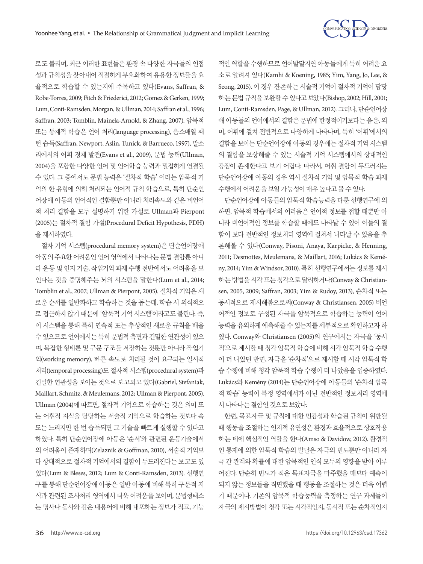

로도 불리며, 최근 이러한 표현들은 환경 속 다양한 자극들의 인접 성과 규칙성을 찾아내어 적절하게 부호화하여 유용한 정보들을 효 율적으로 학습할 수 있는지에 주목하고 있다(Evans, Saffran, & Robe-Torres, 2009; Fitch & Friederici, 2012; Gomez & Gerken, 1999; Lum, Conti-Ramsden, Morgan, & Ullman, 2014; Saffran et al., 1996; Saffran, 2003; Tomblin, Mainela-Arnold, & Zhang, 2007). 암묵적 또는 통계적 학습은 언어 처리(language processing), 음소배열 패 턴 습득(Saffran, Newport, Aslin, Tunick, & Barrueco, 1997), 말소 리에서의 어휘 경계 발견(Evans et al., 2009), 문법 능력(Ullman, 2004)을 포함한 다양한 언어 및 언어학습 능력과 밀접하게 연결될 수 있다. 그 중에서도 문법 능력은 '절차적 학습' 이라는 암묵적 기 억의 한 유형에 의해 처리되는 언어적 규칙 학습으로, 특히 단순언 어장애 아동의 언어적인 결함뿐만 아니라 처리속도와 같은 비언어 적 처리 결함을 모두 설명하기 위한 가설로 Ullman과 Pierpont (2005)는 절차적 결함 가설(Procedural Deficit Hypothesis, PDH) 을제시하였다.

절차 기억 시스템(procedural memory system)은 단순언어장애 아동의 주요한 어려움인 언어 영역에서 나타나는 문법 결함뿐 아니 라 운동 및 인지 기술, 작업기억 과제 수행 전반에서도 어려움을 보 인다는 것을 증명해주는 뇌의 시스템을 말한다(Lum et al., 2014; Tomblin et al., 2007; Ullman & Pierpont, 2005). 절차적 기억은 새 로운 순서를 일반화하고 학습하는 것을 돕는데, 학습 시 의식적으 로 접근하지 않기 때문에 '암묵적 기억 시스템'이라고도 불린다. 즉, 이 시스템을 통해 특히 연속적 또는 추상적인 새로운 규칙을 배울 수 있으므로 언어에서는 특히 문법적 측면과 긴밀한 연관성이 있으 며, 복잡한 형태론 및 구문 구조를 저장하는 것뿐만 아니라 작업기 억(working memory), 빠른 속도로 처리될 것이 요구되는 일시적 처리(temporal processing)도 절차적 시스템(procedural system)과 긴밀한 연관성을 보이는 것으로 보고되고 있다(Gabriel, Stefaniak, Maillart, Schmitz, & Meulemans, 2012; Ullman & Pierpont, 2005). Ullman (2004)에 따르면, 절차적 기억으로 학습하는 것은 의미 또 는 어휘적 지식을 담당하는 서술적 기억으로 학습하는 것보다 속 도는 느리지만 한 번 습득되면 그 기술을 빠르게 실행할 수 있다고 하였다. 특히 단순언어장애 아동은 '순서'와 관련된 운동기술에서 의 어려움이 존재하며(Zelaznik & Goffman, 2010), 서술적 기억보 다 상대적으로 절차적 기억에서의 결함이 두드러진다는 보고도 있 었다(Lum & Bleses, 2012; Lum & Conti-Ramsden, 2013). 선행연 구를 통해 단순언어장애 아동은 일반 아동에 비해 특히 구문적 지 식과 관련된 조사처리 영역에서 더욱 어려움을 보이며, 문법형태소 는 명사나 동사와 같은 내용어에 비해 내포하는 정보가 적고, 기능

적인 역할을 수행하므로 언어발달지연 아동들에게 특히 어려운 요 소로 알려져 있다(Kamhi & Koening, 1985; Yim, Yang, Jo, Lee, & Seong, 2015). 이 경우 잔존하는 서술적 기억이 절차적 기억이 담당 하는문법규칙을보완할수있다고보았다(Bishop, 2002; Hill, 2001; Lum, Conti-Ramsden, Page, & Ullman, 2012). 그러나, 단순언어장 애 아동들의 언어에서의 결함은 문법에 한정적이기보다는 음운, 의 미, 어휘에 걸쳐 전반적으로 다양하게 나타나며, 특히 '어휘'에서의 결함을 보이는 단순언어장애 아동의 경우에는 절차적 기억 시스템 의 결함을 보상해줄 수 있는 서술적 기억 시스템에서의 상대적인 강점이 존재한다고 보기 어렵다. 따라서, 어휘 결함이 두드러지는 단순언어장애 아동의 경우 역시 절차적 기억 및 암묵적 학습 과제 수행에서어려움을보일가능성이매우높다고볼수있다.

단순언어장애 아동들의 암묵적 학습능력을 다룬 선행연구에 의 하면, 암묵적 학습에서의 어려움은 언어적 정보를 접할 때뿐만 아 니라 비언어적인 정보를 학습할 때에도 나타날 수 있어 이들의 결 함이 보다 전반적인 정보처리 영역에 걸쳐서 나타날 수 있음을 추 론해볼 수 있다(Conway, Pisoni, Anaya, Karpicke, & Henning, 2011; Desmottes, Meulemans, & Maillart, 2016; Lukács & Kemény, 2014; Yim & Windsor, 2010). 특히 선행연구에서는 정보를 제시 하는 방법을 시각 또는 청각으로 달리하거나(Conway & Christiansen, 2005, 2009; Saffran, 2003; Yim & Rudoy, 2013), 순차적 또는 동시적으로 제시해봄으로써(Conway & Christiansen, 2005) 비언 어적인 정보로 구성된 자극을 암묵적으로 학습하는 능력이 언어 능력을 유의하게 예측해줄 수 있는지를 세부적으로 확인하고자 하 였다. Conway와 Christiansen (2005)의 연구에서는 자극을 '동시 적'으로 제시할 때 청각 암묵적 학습에 비해 시각 암묵적 학습 수행 이 더 나았던 반면, 자극을 '순차적'으로 제시할 때 시각 암묵적 학 습 수행에 비해 청각 암묵적 학습 수행이 더 나았음을 입증하였다. Lukács와 Kemény (2014)는 단순언어장애 아동들의 '순차적 암묵 적 학습' 능력이 특정 영역에서가 아닌 전반적인 정보처리 영역에 서나타나는결함인것으로보았다.

한편, 목표자극 및 규칙에 대한 민감성과 학습된 규칙이 위반될 때 행동을 조절하는 인지적 유연성은 환경과 효율적으로 상호작용 하는 데에 핵심적인 역할을 한다(Amso & Davidow, 2012). 환경적 인 통제에 의한 암묵적 학습의 발달은 자극의 빈도뿐만 아니라 자 극 간 관계와 확률에 대한 암묵적인 인식 모두의 영향을 받아 이루 어진다. 단순히 빈도가 적은 목표자극을 마주했을 때보다 예측이 되지 않는 정보들을 직면했을 때 행동을 조절하는 것은 더욱 어렵 기 때문이다. 기존의 암묵적 학습능력을 측정하는 연구 과제들이 자극의 제시방법이 청각 또는 시각적인지, 동시적 또는 순차적인지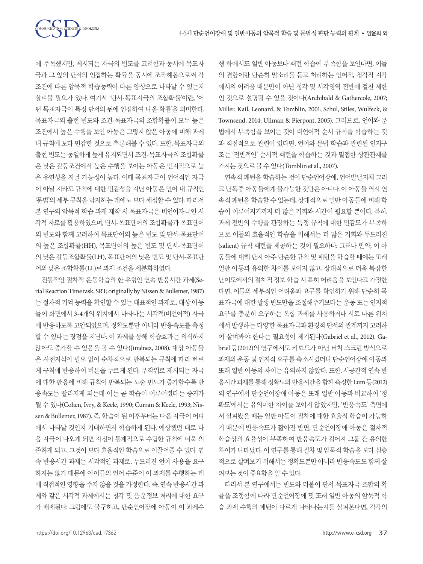에 주목했지만, 제시되는 자극의 빈도를 고려함과 동시에 목표자 극과 그 앞의 단서의 인접하는 확률을 동시에 조작해봄으로써 각 조건에 따른 암묵적 학습능력이 다른 양상으로 나타날 수 있는지 살펴볼 필요가 있다. 여기서 '단서-목표자극의 조합확률'이란, '어 떤 목표자극이 특정 단서의 뒤에 인접하여 나올 확률'을 의미한다. 목표자극의 출현 빈도와 조건-목표자극의 조합확률이 모두 높은 조건에서 높은 수행을 보인 아동은 그렇지 않은 아동에 비해 과제 내 규칙에 보다 민감한 것으로 추론해볼 수 있다. 또한, 목표자극의 출현 빈도는 동일하게 높게 유지되면서 조건-목표자극의 조합확률 은 낮은 갈등조건에서 높은 수행을 보이는 아동은 인지적으로 높 은 유연성을 지닐 가능성이 높다. 이때 목표자극이 언어적인 자극 이 아닐 지라도 규칙에 대한 민감성을 지닌 아동은 언어 내 규칙인 '문법'의 세부 규칙을 탐지하는 데에도 보다 세심할 수 있다. 따라서 본 연구의 암묵적 학습 과제 제작 시 목표자극은 비언어자극인 시 각적 자료를 활용하였으며, 단서-목표단어의 조합확률과 목표단어 의 빈도와 함께 고려하여 목표단어의 높은 빈도 및 단서-목표단어 의 높은 조합확률(HH), 목표단어의 높은 빈도 및 단서-목표단어 의 낮은 갈등조합확률(LH), 목표단어의 낮은 빈도 및 단서-목표단 어의낮은조합확률(LL)로과제조건을세분화하였다.

전통적인 절차적 운동학습의 한 유형인 연속 반응시간 과제(Serial Reaction Time task, SRT; originally by Nissen & Bullemer, 1987) 는 절차적 기억 능력을 확인할 수 있는 대표적인 과제로, 대상 아동 들이 화면에서 3-4개의 위치에서 나타나는 시각적(비언어적) 자극 에 반응하도록 고안되었으며, 정확도뿐만 아니라 반응속도를 측정 할 수 있다는 장점을 지닌다. 이 과제를 통해 학습효과는 의식하지 않아도 증가할 수 있음을 볼 수 있다(Jiménez, 2008). 대상 아동들 은 사전지식이 필요 없이 순차적으로 반복되는 규칙에 따라 빠르 게 규칙에 반응하여 버튼을 누르게 된다. 무작위로 제시되는 자극 에 대한 반응에 비해 규칙이 반복되는 노출 빈도가 증가할수록 반 응속도는 빨라지게 되는데 이는 곧 학습이 이루어졌다는 증거가 될 수 있다(Cohen, Ivry, & Keele, 1990; Curran & Keele, 1993; Nissen & Bullemer, 1987). 즉, 학습이 된 이후부터는 다음 자극이 어디 에서 나타날 것인지 기대하면서 학습하게 된다. 예상했던 대로 다 음 자극이 나오게 되면 자신이 통계적으로 수립한 규칙에 더욱 의 존하게 되고, 그것이 보다 효율적인 학습으로 이끌어줄 수 있다. 연 속 반응시간 과제는 시각적인 과제로, 두드러진 언어 사용을 요구 하지는 않기 때문에 아이들의 언어 수준이 이 과제를 수행하는 데 에 직접적인 영향을 주지 않을 것을 가정한다. 즉, 연속 반응시간 과 제와 같은 시각적 과제에서는 청각 및 음운정보 처리에 대한 요구 가 배제된다. 그럼에도 불구하고, 단순언어장애 아동이 이 과제수

행 하에서도 일반 아동보다 패턴 학습에 부족함을 보인다면, 이들 의 결함이란 단순히 말소리를 듣고 처리하는 언어적, 청각적 지각 에서의 어려움 때문만이 아닌 청각 및 시각영역 전반에 걸친 제한 인 것으로 설명될 수 있을 것이다(Archibald & Gathercole, 2007; Miller, Kail, Leonard, & Tomblin, 2001; Schul, Stiles, Wulfeck, & Townsend, 2014; Ullman & Pierpont, 2005). 그러므로, 언어와 문 법에서 부족함을 보이는 것이 비언어적 순서 규칙을 학습하는 것 과 직접적으로 관련이 있다면, 언어와 문법 학습과 관련된 인지구 조는 '전반적인' 순서적 패턴을 학습하는 것과 밀접한 상관관계를 가지는것으로볼수있다(Tomblin et al., 2007).

연속적 패턴을 학습하는 것이 단순언어장애, 언어발달지체 그리 고 난독증 아동들에게 불가능한 것만은 아니다. 이 아동들 역시 연 속적 패턴을 학습할 수 있는데, 상대적으로 일반 아동들에 비해 학 습이 이루어지기까지 더 많은 기회와 시간이 필요할 뿐이다. 특히, 과제 전반의 수행을 관장하는 특정 규칙에 대한 민감도가 부족하 므로 이들의 효율적인 학습을 위해서는 더 많은 기회와 두드러진 (salient) 규칙 패턴을 제공하는 것이 필요하다. 그러나 만약, 이 아 동들에 대해 단지 아주 단순한 규칙 및 패턴을 학습할 때에는 또래 일반 아동과 유의한 차이를 보이지 않고, 상대적으로 더욱 복잡한 난이도에서의 절차적 정보 학습 시 특히 어려움을 보인다고 가정한 다면, 이들의 세부적인 어려움과 요구를 확인하기 위해 단순히 목 표자극에 대한 발생 빈도만을 조절해주기보다는 운동 또는 인지적 요구를 충분히 요구하는 복합 과제를 사용하거나 서로 다른 위치 에서 발생하는 다양한 목표자극과 환경적 단서의 관계까지 고려하 여 살펴봐야 한다는 필요성이 제기된다(Gabriel et al., 2012). Gabriel 등(2012)의 연구에서도 키보드가 아닌 터치 스크린 방식으로 과제의 운동 및 인지적 요구를 축소시켰더니 단순언어장애 아동과 또래 일반 아동의 차이는 유의하지 않았다. 또한, 시공간적 연속 반 응시간과제를통해정확도와반응시간을함께측정한 Lum 등(2012) 의 연구에서 단순언어장애 아동은 또래 일반 아동과 비교하여 '정 확도'에서는 유의미한 차이를 보이지 않았지만, '반응속도' 측면에 서 살펴봤을 때는 일반 아동이 절차에 대한 효율적 학습이 가능하 기 때문에 반응속도가 짧아진 반면, 단순언어장애 아동은 절차적 학습상의 효율성이 부족하여 반응속도가 길어져 그룹 간 유의한 차이가 나타났다. 이 연구를 통해 절차 및 암묵적 학습을 보다 심층 적으로살펴보기위해서는정확도뿐만아니라반응속도도함께살 펴보는것이중요함을알수있다.

따라서 본 연구에서는 빈도와 더불어 단서-목표자극 조합의 확 률을 조정함에 따라 단순언어장애 및 또래 일반 아동의 암묵적 학 습 과제 수행의 패턴이 다르게 나타나는지를 살펴본다면, 각각의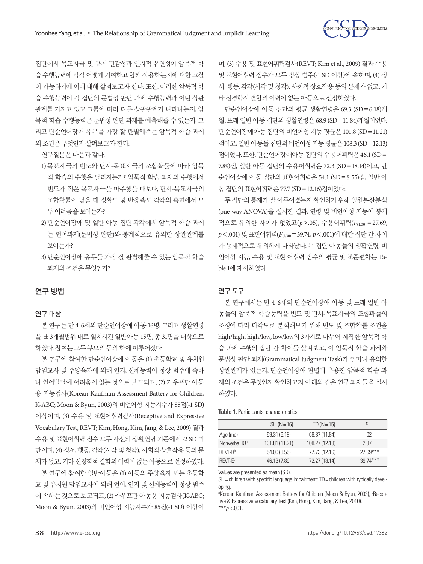

집단에서 목표자극 및 규칙 민감성과 인지적 유연성이 암묵적 학 습 수행능력에 각각 어떻게 기여하고 함께 작용하는지에 대한 고찰 이 가능하기에 이에 대해 살펴보고자 한다. 또한, 이러한 암묵적 학 습 수행능력이 각 집단의 문법성 판단 과제 수행능력과 어떤 상관 관계를 가지고 있고 그룹에 따라 다른 상관관계가 나타나는지, 암 묵적 학습 수행능력은 문법성 판단 과제를 예측해줄 수 있는지, 그 리고 단순언어장애 유무를 가장 잘 판별해주는 암묵적 학습 과제 의조건은무엇인지살펴보고자한다.

연구질문은다음과같다.

- 1) 목표자극의 빈도와 단서-목표자극의 조합확률에 따라 암묵 적 학습의 수행은 달라지는가? 암묵적 학습 과제의 수행에서 빈도가 적은 목표자극을 마주했을 때보다, 단서-목표자극의 조합확률이 낮을 때 정확도 및 반응속도 각각의 측면에서 모 두어려움을보이는가?
- 2) 단순언어장애 및 일반 아동 집단 각각에서 암묵적 학습 과제 는 언어과제(문법성 판단)와 통계적으로 유의한 상관관계를 보이는가?
- 3) 단순언어장애 유무를 가장 잘 판별해줄 수 있는 암묵적 학습 과제의 조건은 무엇이가?

## 연구 방법

## 연구 대상

본 연구는 만 4-6세의 단순언어장애 아동 16명, 그리고 생활연령 을 ±3개월범위 내로 일치시킨 일반아동 15명, 총 31명을 대상으로 하였다. 참여는모두부모의동의하에이루어졌다.

본 연구에 참여한 단순언어장애 아동은 (1) 초등학교 및 유치원 담임교사 및 주양육자에 의해 인지, 신체능력이 정상 범주에 속하 나 언어발달에 어려움이 있는 것으로 보고되고, (2) 카우프만 아동 용 지능검사(Korean Kaufman Assessment Battery for Children, K-ABC; Moon & Byun, 2003)의 비언어성 지능지수가 85점(-1 SD) 이상이며, (3) 수용 및 표현어휘력검사(Receptive and Expressive Vocabulary Test, REVT; Kim, Hong, Kim, Jang, & Lee, 2009) 결과 수용 및 표현어휘력 점수 모두 자신의 생활연령 기준에서 -2 SD 미 만이며, (4) 정서, 행동, 감각(시각및청각), 사회적상호작용등의 문 제가 없고, 기타 신경학적 결함의 이력이 없는 아동으로 선정하였다.

본 연구에 참여한 일반아동은 (1) 아동의 주양육자 또는 초등학 교 및 유치원 담임교사에 의해 언어, 인지 및 신체능력이 정상 범주 에 속하는것으로보고되고, (2) 카우프만아동용지능검사(K-ABC; Moon & Byun, 2003)의 비언어성 지능지수가 85점(-1 SD) 이상이 며, (3) 수용 및 표현어휘력검사(REVT; Kim et al., 2009) 결과 수용 및 표현어휘력 점수가 모두 정상 범주(-1 SD 이상)에 속하며, (4) 정 서, 행동, 감각(시각 및 청각), 사회적 상호작용 등의 문제가 없고, 기 타신경학적결함의이력이없는아동으로선정하였다.

단순언어장애 아동 집단의 평균 생활연령은 69.3 (SD=6.18)개 월, 또래일반아동집단의생활연령은 68.9 (SD=11.84)개월이었다. 단순언어장애아동 집단의 비언어성 지능 평균은 101.8 (SD=11.21) 점이고, 일반아동들집단의비언어성지능평균은 108.3 (SD=12.13) 점이었다. 또한, 단순언어장애아동집단의수용어휘력은 46.1 (SD= 7.89)점, 일반 아동 집단의 수용어휘력은 72.3 (SD=18.14)이고, 단 순언어장애 아동 집단의 표현어휘력은 54.1 (SD=8.55)점, 일반 아 동집단의표현어휘력은 77.7 (SD=12.16)점이었다.

두 집단의 통제가 잘 이루어졌는지 확인하기 위해 일원분산분석 (one-way ANOVA)을 실시한 결과, 연령 및 비언어성 지능에 통계 적으로 유의한 차이가 없었고(*p*>.05), 수용어휘력(*F*(1,30) =27.69, *p*<.001) 및 표현어휘력(*F*(1,30)=39.74, *p*<.001)에 대한 집단 간 차이 가 통계적으로 유의하게 나타났다. 두 집단 아동들의 생활연령, 비 언어성 지능, 수용 및 표현 어휘력 점수의 평균 및 표준편차는 Table 1에 제시하였다.

## 연구 도구

본 연구에서는 만 4-6세의 단순언어장애 아동 및 또래 일반 아 동들의 암묵적 학습능력을 빈도 및 단서-목표자극의 조합확률의 조정에 따라 다각도로 분석해보기 위해 빈도 및 조합확률 조건을 high/high, high/low, low/low의 3가지로 나누어 제작한 암묵적 학 습 과제 수행의 집단 간 차이를 살펴보고, 이 암묵적 학습 과제와 문법성 판단 과제(Grammatical Judgment Task)가 얼마나 유의한 상관관계가 있는지, 단순언어장애 판별에 유용한 암묵적 학습 과 제의 조건은 무엇인지 확인하고자 아래와 같은 연구 과제들을 실시 하였다.

**Table 1.** Participants' characteristics

|                           | $SLI(N=16)$    | $TD (N = 15)$  | F          |
|---------------------------|----------------|----------------|------------|
| Age (mo)                  | 69.31 (6.18)   | 68.87 (11.84)  | .02        |
| Nonverbal IQ <sup>a</sup> | 101.81 (11.21) | 108.27 (12.13) | 2.37       |
| RFVT-R <sup>b</sup>       | 54.06 (8.55)   | 77.73 (12.16)  | $27.69***$ |
| RFVT-F <sup>b</sup>       | 46.13 (7.89)   | 72.27 (18.14)  | $3974***$  |

Values are presented as mean (SD).

SLI= children with specific language impairment; TD = children with typically developing.

<sup>a</sup>Korean Kaufman Assessment Battery for Children (Moon & Byun, 2003), <sup>b</sup>Receptive & Expressive Vocabulary Test (Kim, Hong, Kim, Jang, & Lee, 2010). \*\*\**p* < .001.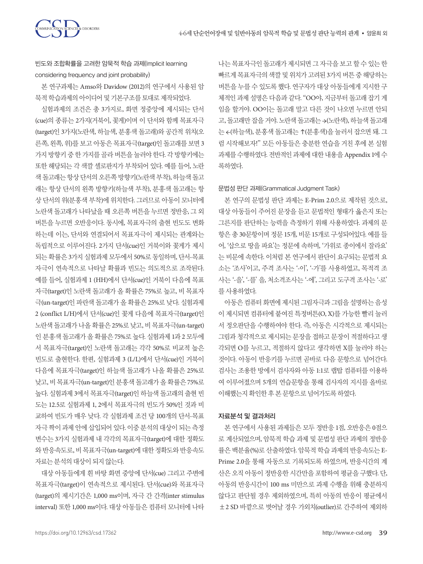

빈도와 조합확률을 고려한 암묵적 학습 과제(Implicit learning considering frequency and joint probability)

본 연구과제는 Amso와 Davidow (2012)의 연구에서 사용된 암 묵적학습과제의아이디어및기본구조를토대로제작되었다.

실험과제의 조건은 총 3가지로, 화면 정중앙에 제시되는 단서 (cue)의 종류는 2가지(거북이, 꽃게)이며 이 단서와 함께 목표자극 (target)인 3가지(노란색, 하늘색, 분홍색 돌고래)와 공간적 위치(오 른쪽, 왼쪽, 위)를 보고 아동은 목표자극(target)인 돌고래를 보면 3 가지 방향키 중 한 가지를 골라 버튼을 눌러야 한다. 각 방향키에는 또한 해당되는 각 색깔 셀로판지가 부착되어 있다. 예를 들어, 노란 색돌고래는항상단서의오른쪽방향키(노란색부착), 하늘색돌고 래는 항상 단서의 왼쪽 방향키(하늘색 부착), 분홍색 돌고래는 항 상 단서의 위(분홍색 부착)에 위치한다. 그러므로 아동이 모니터에 노란색 돌고래가 나타났을 때 오른쪽 버튼을 누르면 정반응, 그 외 버튼을 누르면 오반응이다. 동시에, 목표자극의 출현 빈도도 변화 하는데 이는, 단서와 연결되어서 목표자극이 제시되는 관계와는 독립적으로 이루어진다. 2가지 단서(cue)인 거북이와 꽃게가 제시 되는 확률은 3가지 실험과제 모두에서 50%로 동일하며, 단서-목표 자극이 연속적으로 나타날 확률과 빈도는 의도적으로 조작된다. 예를 들어, 실험과제 1 (HH)에서 단서(cue)인 거북이 다음에 목표 자극(target)인 노란색 돌고래가 올 확률은 75%로 높고, 비 목표자 극(un-target)인 파란색 돌고래가 올 확률은 25%로 낮다. 실험과제 2 (conflict L/H)에서 단서(cue)인 꽃게 다음에 목표자극(target)인 노란색 돌고래가 나올 확률은 25%로 낮고, 비 목표자극(un-target) 인 분홍색 돌고래가 올 확률은 75%로 높다. 실험과제 1과 2 모두에 서 목표자극(target)인 노란색 돌고래는 각각 50%로 비교적 높은 빈도로 출현한다. 한편, 실험과제 3 (L/L)에서 단서(cue)인 거북이 다음에 목표자극(target)인 하늘색 돌고래가 나올 확률은 25%로 낮고, 비 목표자극(un-target)인 분홍색 돌고래가 올 확률은 75%로 높다. 실험과제 3에서 목표자극(target)인 하늘색 돌고래의 출현 빈 도는 12.5로 실험과제 1, 2에서 목표자극의 빈도가 50%인 것과 비 교하여 빈도가 매우 낮다. 각 실험과제 조건 당 100개의 단서-목표 자극 짝이 과제 안에 삽입되어 있다. 이중 분석의 대상이 되는 측정 변수는 3가지 실험과제 내 각각의 목표자극(target)에 대한 정확도 와반응속도로, 비목표자극(un-target)에대한정확도와반응속도 자료는분석의대상이되지않는다.

대상 아동들에게 흰 바탕 화면 중앙에 단서(cue) 그리고 주변에 목표자극(target)이 연속적으로 제시된다. 단서(cue)와 목표자극 (target)의 제시기간은 1,000 ms이며, 자극 간 간격(inter stimulus interval) 또한 1,000 ms이다. 대상 아동들은 컴퓨터 모니터에 나타

나는 목표자극인 돌고래가 제시되면 그 자극을 보고 할 수 있는 한 빠르게 목표자극의 색깔 및 위치가 고려된 3가지 버튼 중 해당하는 버튼을 누를 수 있도록 했다. 연구자가 대상 아동들에게 지시한 구 체적인 과제 설명은 다음과 같다. "OO야, 지금부터 돌고래 잡기 게 임을 할거야. OO이는 돌고래 말고 다른 것이 나오면 누르면 안되 고, 돌고래만 잡을 거야. 노란색 돌고래는 →(노란색), 하늘색 돌고래 는 ←(하늘색), 분홍색 돌고래는 ↑(분홍색)을 눌러서 잡으면 돼. 그 럼 시작해보자!" 모든 아동들은 충분한 연습을 거친 후에 본 실험 과제를 수행하였다. 전반적인 과제에 대한 내용을 Appendix 1에 수 록하였다.

#### 문법성 판단 과제(Grammatical Judgment Task)

본 연구의 문법성 판단 과제는 E-Prim 2.0으로 제작된 것으로, 대상 아동들이 주어진 문장을 듣고 문법적인 형태가 옳은지 또는 그른지를 판단하는 능력을 측정하기 위해 사용하였다. 과제의 문 항은 총 30문항이며 정문 15개, 비문 15개로 구성되어있다. 예를 들 어, '삽으로 땅을 파요'는 정문에 속하며, '가위로 종이에서 잘라요' 는 비문에 속한다. 이처럼 본 연구에서 판단이 요구되는 문법적 요 소는 '조사'이고, 주격 조사는 '-이', '-가'를 사용하였고, 목적격 조 사는 '-을', '-를' 을, 처소격조사는 '-에', 그리고 도구격 조사는 '-로' 를사용하였다.

아동은 컴퓨터 화면에 제시된 그림자극과 그림을 설명하는 음성 이 제시되면 컴퓨터에 붙여진 특정버튼(O, X)를 가능한 빨리 눌러 서 정오판단을 수행하여야 한다. 즉, 아동은 시각적으로 제시되는 그림과 청각적으로 제시되는 문장을 접하고 문장이 적절하다고 생 각되면 O를 누르고, 적절하지 않다고 생각하면 X를 눌러야 하는 것이다. 아동이 반응키를 누르면 곧바로 다음 문항으로 넘어간다. 검사는 조용한 방에서 검사자와 아동 1:1로 랩탑 컴퓨터를 이용하 여 이루어졌으며 5개의 연습문항을 통해 검사자의 지시를 올바로 이해했는지확인한후본문항으로넘어가도록하였다.

#### 자료분석 및 결과처리

본 연구에서 사용된 과제들은 모두 정반응 1점, 오반응은 0점으 로 계산되었으며, 암묵적 학습 과제 및 문법성 판단 과제의 정반응 률은 백분율(%)로 산출하였다. 암묵적 학습 과제의 반응속도는 E-Prime 2.0을 통해 자동으로 기록되도록 하였으며, 반응시간의 계 산은 오직 아동이 정반응한 시간만을 포함하여 평균을 구했다. 단, 아동의 반응시간이 100 ms 미만으로 과제 수행을 위해 충분하지 않다고 판단될 경우 제외하였으며, 특히 아동의 반응이 평균에서 ±2 SD 바깥으로 벗어날 경우 가외치(outlier)로 간주하여 제외하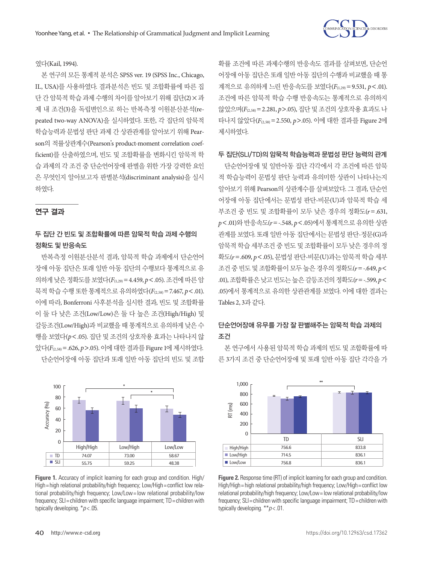

## 였다(Kail, 1994).

본 연구의 모든 통계적 분석은 SPSS ver. 19 (SPSS Inc., Chicago, IL, USA)를 사용하였다. 결과분석은 빈도 및 조합확률에 따른 집 단 간 암묵적 학습 과제 수행의 차이를 알아보기 위해 집단(2)×과 제 내 조건(3)을 독립변인으로 하는 반복측정 이원분산분석(repeated two-way ANOVA)을 실시하였다. 또한, 각 집단의 암묵적 학습능력과 문법성 판단 과제 간 상관관계를 알아보기 위해 Pearson의 적률상관계수(Pearson's product-moment correlation coefficient)를 산출하였으며, 빈도 및 조합확률을 변화시킨 암묵적 학 습 과제의 각 조건 중 단순언어장애 판별을 위한 가장 강력한 요인 은 무엇인지 알아보고자 판별분석(discriminant analysis)을 실시 하였다.

## 연구 결과

## 두 집단 간 빈도 및 조합확률에 따른 암묵적 학습 과제 수행의 정확도 및 반응속도

반복측정 이원분산분석 결과, 암묵적 학습 과제에서 단순언어 장애 아동 집단은 또래 일반 아동 집단의 수행보다 통계적으로 유 의하게 낮은 정확도를 보였다(*F*(1,29)=4.459, *p*<.05). 조건에따른 암 묵적 학습 수행 또한 통계적으로 유의하였다(*F*(2,58)=7.467, *p*<.01). 이에 따라, Bonferroni 사후분석을 실시한 결과, 빈도 및 조합확률 이 둘 다 낮은 조건(Low/Low)은 둘 다 높은 조건(High/High) 및 갈등조건(Low/High)과 비교했을 때 통계적으로 유의하게 낮은 수 행을 보였다(*p*<.05). 집단 및 조건의 상호작용 효과는 나타나지 않 았다(*F*(2,58)=.626, *p*>.05). 이에대한결과를 Figure 1에제시하였다. 단순언어장애 아동 집단과 또래 일반 아동 집단의 빈도 및 조합



**Figure 1.** Accuracy of implicit learning for each group and condition. High/ High= high relational probability/high frequency; Low/High= conflict low relational probability/high frequency; Low/Low = low relational probability/low frequency; SLI = children with specific language impairment; TD = children with typically developing. \**p* < .05.

확률 조건에 따른 과제수행의 반응속도 결과를 살펴보면, 단순언 어장애 아동 집단은 또래 일반 아동 집단의 수행과 비교했을 때 통 계적으로 유의하게 느린 반응속도를 보였다(*F*(1,29)=9.531, *p*<.01). 조건에 따른 암묵적 학습 수행 반응속도는 통계적으로 유의하지 않았으며(*F*(2,58)=2.281, *p*>.05), 집단 및 조건의 상호작용 효과도 나 타나지 않았다(*F*(2,58)=2.550, *p*>.05). 이에 대한 결과를 Figure 2에 제시하였다.

## 두 집단(SLI/TD)의 암묵적 학습능력과 문법성 판단 능력의 관계

단순언어장애 및 일반아동 집단 각각에서 각 조건에 따른 암묵 적 학습능력이 문법성 판단 능력과 유의미한 상관이 나타나는지 알아보기 위해 Pearson의 상관계수를 살펴보았다. 그 결과, 단순언 어장애 아동 집단에서는 문법성 판단-비문(U)과 암묵적 학습 세 부조건 중 빈도 및 조합확률이 모두 낮은 경우의 정확도(*r*=.631, *p*<.01)와 반응속도(*r*=-.548, *p*<.05)에서 통계적으로 유의한 상관 관계를 보였다. 또래 일반 아동 집단에서는 문법성 판단-정문(G)과 암묵적 학습 세부조건 중 빈도 및 조합확률이 모두 낮은 경우의 정 확도(*r*=.609, *p*<.05), 문법성 판단-비문(U)과는 암묵적 학습 세부 조건 중 빈도 및 조합확률이 모두 높은 경우의 정확도(*r*=-.649, *p*< .01), 조합확률은 낮고 빈도는 높은 갈등조건의 정확도( $r = -.599$ ,  $p <$ .05)에서 통계적으로 유의한 상관관계를 보였다. 이에 대한 결과는 Tables 2, 3과같다.

# 단순언어장애 유무를 가장 잘 판별해주는 암묵적 학습 과제의 조건

본 연구에서 사용된 암묵적 학습 과제의 빈도 및 조합확률에 따 른 3가지 조건 중 단순언어장애 및 또래 일반 아동 집단 각각을 가



**Figure 2.** Response time (RT) of implicit learning for each group and condition. High/High= high relational probability/high frequency; Low/High= conflict low relational probability/high frequency; Low/Low= low relational probability/low frequency; SLI = children with specific language impairment; TD = children with typically developing. \*\**p* < .01.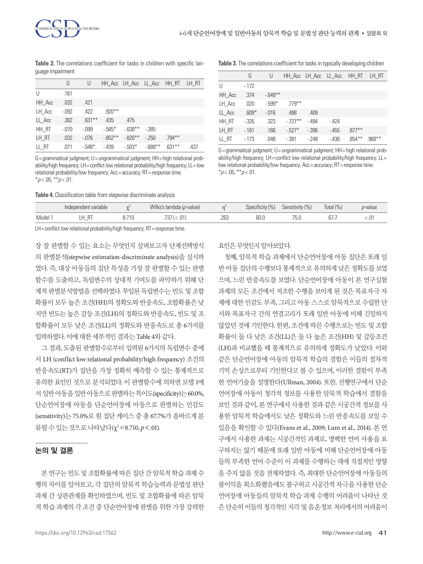**Table 2.** The correlations coefficient for tasks in children with specific language impairment

|        | G        | U          |          | HH Acc LH Acc LL Acc |          | HH RT     | LH RT |
|--------|----------|------------|----------|----------------------|----------|-----------|-------|
| U      | .161     |            |          |                      |          |           |       |
| HH Acc | .032     | .421       |          |                      |          |           |       |
| LH Acc | $-0.092$ | .422       | $.920**$ |                      |          |           |       |
| LL Acc | .382     | $.631***$  | .435     | .475                 |          |           |       |
| HH RT  | $-.070$  | $-.099$    | $-585*$  | $-638**$             | - 385    |           |       |
| LH RT  | .032     | $-.076$    | $-852**$ | $-0.826***$          | $-250$   | $.794***$ |       |
| LL RT  | .071     | $-548^*$ . | $-439$   | $-503*$              | $-688**$ | $.631**$  | .437  |

G= grammatical judgment; U= ungrammatical judgment; HH= high relational probability/high frequency; LH= conflict low relational probability/high frequency; LL= low relational probability/low frequency; Acc = accuracy; RT = response time. \**p* < .05, \*\**p* < .01.

**Table 4.** Classification table from stepwise discriminate analysis

**Table 3.** The correlations coefficient for tasks in typically developing children

|        | G       | U        |          |          | HH_Acc LH_Acc LL_Acc HH_RT |           | LH RT     |
|--------|---------|----------|----------|----------|----------------------------|-----------|-----------|
| U      | $-172$  |          |          |          |                            |           |           |
| HH Acc | .374    | $-649**$ |          |          |                            |           |           |
| LH Acc | .020    | $-599*$  | $779***$ |          |                            |           |           |
| LL Acc | $.609*$ | $-.016$  | .488     | .409     |                            |           |           |
| HH RT  | $-335$  | .323     | $-727**$ | $-494$   | $-424$                     |           |           |
| LH RT  | $-161$  | .166     | $-527*$  | $-0.396$ | $-455$                     | $.877***$ |           |
| LL RT  | $-173$  | .048     | $-0.381$ | $-248$   | $-436$                     | $.854***$ | $.968***$ |

G= grammatical judgment; U= ungrammatical judgment; HH= high relational probability/high frequency;  $LH =$  conflict low relational probability/high frequency;  $LL =$ low relational probability/low frequency; Acc = accuracy; RT = response time.  $*_{p<.05}$ ,  $*_{p<.01}$ .

|       | Independent variable            |       | Wilks's lambda (p-value) |              | (% )<br>$\cdot$ $\cdot$ $\cdot$ $\cdot$<br>Specificity | Sensitivity (%) | Total (%) | <i>n</i> -value |
|-------|---------------------------------|-------|--------------------------|--------------|--------------------------------------------------------|-----------------|-----------|-----------------|
| Model | $-$<br>$\overline{\phantom{a}}$ | 8.710 | <.01<br>، ن ،            | .263<br>$ -$ | 60.C                                                   | 75.0            | $\cup$    | ا آب ۱          |

LH = conflict low relational probability/high frequency; RT = response time.

장 잘 판별할 수 있는 요소는 무엇인지 살펴보고자 단계선택방식 의 판별분석(stepwise estimation-discriminate analysis)을 실시하 였다. 즉, 대상 아동들의 집단 특성을 가장 잘 판별할 수 있는 판별 함수를 도출하고, 독립변수의 상대적 기여도를 파악하기 위해 단 계적 판별분석방법을 선택하였다. 투입된 독립변수는 빈도 및 조합 확률이 모두 높은 조건(HH)의 정확도와 반응속도, 조합확률은 낮 지만 빈도는 높은 갈등 조건(LH)의 정확도와 반응속도, 빈도 및 조 합확률이 모두 낮은 조건(LL)의 정확도와 반응속도로 총 6가지를 입력하였다. 이에대한세부적인결과는 Table 4와같다.

그 결과, 도출된 판별함수로부터 입력된 6가지의 독립변수 중에 서 LH (conflict low relational probability/high frequency) 조건의 반응속도(RT)가 집단을 가장 정확히 예측할 수 있는 통계적으로 유의한 요인인 것으로 분석되었다. 이 판별함수에 의하면 모델 1에 서 일반아동을일반아동으로판별하는특이도(specificity)는 60.0%, 단순언어장애 아동을 단순언어장애 아동으로 판별하는 민감도 (sensitivity)는 75.0%로 원 집단 케이스 중 총 67.7%가 올바르게 분 류될 수 있는 것으로 나타났다(χ² = 8.710, *p* < .01).

#### 논의 및 결론

본 연구는 빈도 및 조합확률에 따른 집단 간 암묵적 학습 과제 수 행의 차이를 알아보고, 각 집단의 암묵적 학습능력과 문법성 판단 과제 간 상관관계를 확인하였으며, 빈도 및 조합확률에 따른 암묵 적 학습 과제의 각 조건 중 단순언어장애 판별을 위한 가장 강력한 요인은무엇인지알아보았다.

첫째, 암묵적 학습 과제에서 단순언어장애 아동 집단은 또래 일 반 아동 집단의 수행보다 통계적으로 유의하게 낮은 정확도를 보였 으며, 느린 반응속도를 보였다. 단순언어장애 아동이 본 연구실험 과제의 모든 조건에서 저조한 수행을 보이게 된 것은 목표자극 자 체에 대한 민감도 부족, 그리고 아동 스스로 암묵적으로 수립한 단 서와 목표자극 간의 연결고리가 또래 일반 아동에 비해 긴밀하지 않았던 것에 기인한다. 한편, 조건에 따른 수행으로는 빈도 및 조합 확률이 둘 다 낮은 조건(LL)은 둘 다 높은 조건(HH) 및 갈등조건 (LH)과 비교했을 때 통계적으로 유의하게 정확도가 낮았다. 이와 같은 단순언어장애 아동의 암묵적 학습의 결함은 이들의 절차적 기억 손상으로부터 기인한다고 볼 수 있으며, 이러한 결함이 부족 한 언어기술을 설명한다(Ullman, 2004). 또한, 선행연구에서 단순 언어장애 아동이 청각적 정보를 사용한 암묵적 학습에서 결함을 보인 것과 같이, 본 연구에서 사용한 것과 같은 시공간적 정보를 사 용한 암묵적 학습에서도 낮은 정확도와 느린 반응속도를 보일 수 있음을 확인할 수 있다(Evans et al., 2009; Lum et al., 2014). 본 연 구에서 사용한 과제는 시공간적인 과제로, 명백한 언어 사용을 요 구하지는 않기 때문에 또래 일반 아동에 비해 단순언어장애 아동 들의 부족한 언어 수준이 이 과제를 수행하는 데에 직접적인 영향 을 주지 않을 것을 전제하였다. 즉, 최대한 단순언어장애 아동들의 불이익을 최소화했음에도 불구하고 시공간적 자극을 사용한 단순 언어장애 아동들의 암묵적 학습 과제 수행의 어려움이 나타난 것 은 단순히 이들의 청각적인 지각 및 음운정보 처리에서의 어려움이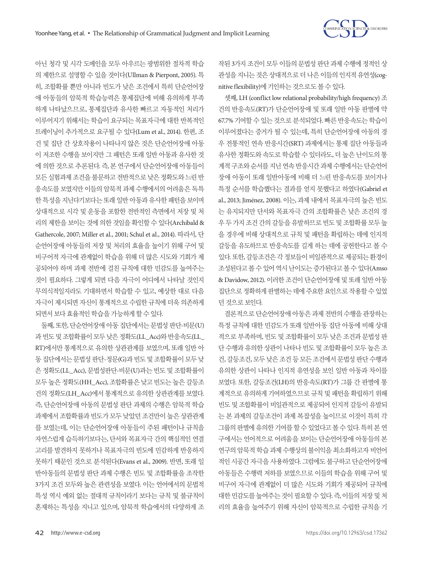

아닌 청각 및 시각 도메인을 모두 아우르는 광범위한 절차적 학습 의 제한으로 설명할 수 있을 것이다(Ullman & Pierpont, 2005). 특 히, 조합확률 뿐만 아니라 빈도가 낮은 조건에서 특히 단순언어장 애 아동들의 암묵적 학습능력은 통제집단에 비해 유의하게 부족 하게 나타났으므로, 통제집단과 유사한 빠르고 자동적인 처리가 이루어지기 위해서는 학습이 요구되는 목표자극에 대한 반복적인 트레이닝이 추가적으로 요구될 수 있다(Lum et al., 2014). 한편, 조 건 및 집단 간 상호작용이 나타나지 않은 것은 단순언어장애 아동 이 저조한 수행을 보이지만 그 패턴은 또래 일반 아동과 유사한 것 에 의한 것으로 추론된다. 즉, 본 연구에서 단순언어장애 아동들이 모든 실험과제 조건을 불문하고 전반적으로 낮은 정확도와 느린 반 응속도를 보였지만 이들의 암묵적 과제 수행에서의 어려움은 독특 한 특성을 지닌다기보다는 또래 일반 아동과 유사한 패턴을 보이며 상대적으로 시각 및 운동을 포함한 전반적인 측면에서 저장 및 처 리의 제한을 보이는 것에 의한 것임을 확인할 수 있다(Archibald & Gathercole, 2007; Miller et al., 2001; Schul et al., 2014). 따라서, 단 순언어장애 아동들의 저장 및 처리의 효율을 높이기 위해 구어 및 비구어적 자극에 관계없이 학습을 위해 더 많은 시도와 기회가 제 공되어야 하며 과제 전반에 걸친 규칙에 대한 민감도를 높여주는 것이 필요하다. 그렇게 되면 다음 자극이 어디에서 나타날 것인지 무의식적일지라도 기대하면서 학습할 수 있고, 예상한 대로 다음 자극이 제시되면 자신이 통계적으로 수립한 규칙에 더욱 의존하게 되면서보다효율적인학습을가능하게할수있다.

둘째, 또한, 단순언어장애 아동 집단에서는 문법성 판단-비문(U) 과 빈도 및 조합확률이 모두 낮은 정확도(LL\_Acc)와 반응속도(LL\_ RT)에서만 통계적으로 유의한 상관관계를 보였으며, 또래 일반 아 동 집단에서는 문법성 판단-정문(G)과 빈도 및 조합확률이 모두 낮 은 정확도(LL\_Acc), 문법성판단-비문(U)과는 빈도 및 조합확률이 모두 높은 정확도(HH\_Acc), 조합확률은 낮고 빈도는 높은 갈등조 건의 정확도(LH\_Acc)에서 통계적으로 유의한 상관관계를 보였다. 즉, 단순언어장애 아동의 문법성 판단 과제의 수행은 암묵적 학습 과제에서 조합확률과 빈도가 모두 낮았던 조건만이 높은 상관관계 를 보였는데, 이는 단순언어장애 아동들이 주된 패턴이나 규칙을 자연스럽게 습득하기보다는, 단서와 목표자극 간의 핵심적인 연결 고리를 발견하지 못하거나 목표자극의 빈도에 민감하게 반응하지 못하기 때문인 것으로 분석된다(Evans et al., 2009). 반면, 또래 일 반아동들의 문법성 판단 과제 수행은 빈도 및 조합확률을 조작한 3가지 조건 모두와 높은 관련성을 보였다. 이는 언어에서의 문법적 특성 역시 예외 없는 절대적 규칙이라기 보다는 규칙 및 불규칙이 혼재하는 특성을 지니고 있으며, 암묵적 학습에서의 다양하게 조

작된 3가지 조건이 모두 이들의 문법성 판단 과제 수행에 정적인 상 관성을 지니는 것은 상대적으로 더 나은 이들의 인지적 유연성(cognitive flexibility)에기인하는것으로도볼수있다.

셋째, LH (conflict low relational probability/high frequency) 조 건의 반응속도(RT)가 단순언어장애 및 또래 일반 아동 판별에 약 67.7% 기여할 수 있는 것으로 분석되었다. 빠른 반응속도는 학습이 이루어졌다는 증거가 될 수 있는데, 특히 단순언어장애 아동의 경 우 전통적인 연속 반응시간(SRT) 과제에서는 통제 집단 아동들과 유사한 정확도와 속도로 학습할 수 있더라도, 더 높은 난이도의 통 계적 구조와 순서를 지닌 연속 반응시간 과제 수행에서는 단순언어 장애 아동이 또래 일반아동에 비해 더 느린 반응속도를 보이거나 특정 순서를 학습했다는 결과를 얻지 못했다고 하였다(Gabriel et al., 2013; Jiménez, 2008). 이는, 과제 내에서 목표자극의 높은 빈도 는 유지되지만 단서와 목표자극 간의 조합확률은 낮은 조건의 경 우 두 가지 조건 간의 갈등을 유발하므로 빈도 및 조합확률 모두 높 을 경우에 비해 상대적으로 규칙 및 패턴을 확립하는 데에 인지적 갈등을 유도하므로 반응속도를 길게 하는 데에 공헌한다고 볼 수 있다. 또한, 갈등조건은각정보들이비일관적으로제공되는환경이 조성된다고볼수있어역시난이도는증가된다고볼수있다(Amso & Davidow, 2012). 이러한 조건이 단순언어장애 및 또래 일반 아동 집단으로 정확하게 판별하는 데에 주요한 요인으로 작용할 수 있었 던것으로보인다.

결론적으로 단순언어장애 아동은 과제 전반의 수행을 관장하는 특정 규칙에 대한 민감도가 또래 일반아동 집단 아동에 비해 상대 적으로 부족하며, 빈도 및 조합확률이 모두 낮은 조건과 문법성 판 단 수행과 유의한 상관이 나타나 빈도 및 조합확률이 모두 높은 조 건, 갈등조건, 모두 낮은 조건 등 모든 조건에서 문법성 판단 수행과 유의한 상관이 나타나 인지적 유연성을 보인 일반 아동과 차이를 보였다. 또한, 갈등조건(LH)의 반응속도(RT)가 그룹 간 판별에 통 계적으로 유의하게 기여하였으므로 규칙 및 패턴을 확립하기 위해 빈도 및 조합확률이 비일관적으로 제공되어 인지적 갈등이 유발되 는 본 과제의 갈등조건이 과제 복잡성을 높이므로 이것이 특히 각 그룹의 판별에 유의한 기여를 할 수 있었다고 볼 수 있다. 특히 본 연 구에서는 언어적으로 어려움을 보이는 단순언어장애 아동들의 본 연구의 암묵적 학습 과제 수행상의 불이익을 최소화하고자 비언어 적인 시공간 자극을 사용하였다. 그럼에도 불구하고 단순언어장애 아동들은 수행력 저하를 보였으므로 이들의 학습을 위해 구어 및 비구어 자극에 관계없이 더 많은 시도와 기회가 제공되어 규칙에 대한민감도를높여주는것이필요할수있다. 즉, 이들의저장및처 리의 효율을 높여주기 위해 자신이 암묵적으로 수립한 규칙을 기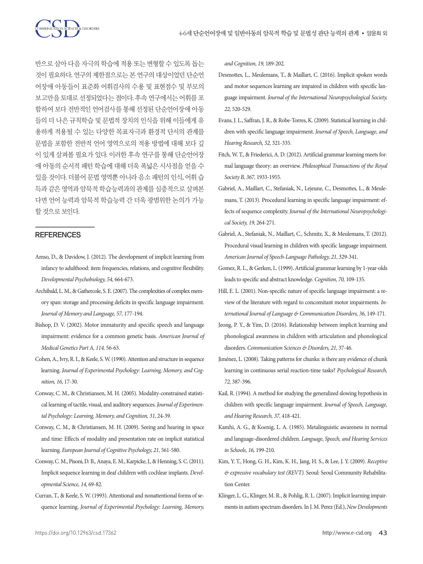

반으로 삼아 다음 자극의 학습에 적용 또는 변형할 수 있도록 돕는 것이 필요하다. 연구의 제한점으로는 본 연구의 대상이었던 단순언 어장애 아동들이 표준화 어휘검사의 수용 및 표현점수 및 부모의 보고만을 토대로 선정되었다는 점이다. 후속 연구에서는 어휘를 포 함하여 보다 전반적인 언어검사를 통해 선정된 단순언어장애 아동 들의 더 나은 규칙학습 및 문법적 장치의 인식을 위해 이들에게 유 용하게 적용될 수 있는 다양한 목표자극과 환경적 단서의 관계를 문법을 포함한 전반적 언어 영역으로의 적용 방법에 대해 보다 깊 이 있게 살펴볼 필요가 있다. 이러한 후속 연구를 통해 단순언어장 애 아동의 순서적 패턴 학습에 대해 더욱 폭넓은 시사점을 얻을 수 있을 것이다. 더불어 문법 영역뿐 아니라 음소 패턴의 인식, 어휘 습 득과 같은 영역과 암묵적 학습능력과의 관계를 심층적으로 살펴본 다면 언어 능력과 암묵적 학습능력 간 더욱 광범위한 논의가 가능 할것으로보인다.

## **REFERENCES**

- Amso, D., & Davidow, J. (2012). The development of implicit learning from infancy to adulthood: item frequencies, relations, and cognitive flexibility. *Developmental Psychobiology, 54,* 664-673.
- Archibald, L. M., & Gathercole, S. E. (2007). The complexities of complex memory span: storage and processing deficits in specific language impairment. *Journal of Memory and Language, 57,* 177-194.
- Bishop, D. V. (2002). Motor immaturity and specific speech and language impairment: evidence for a common genetic basis. *American Journal of Medical Genetics Part A, 114,* 56-63.
- Cohen, A., Ivry, R. I., & Keele, S. W. (1990). Attention and structure in sequence learning. *Journal of Experimental Psychology: Learning, Memory, and Cognition, 16,* 17-30.
- Conway, C. M., & Christiansen, M. H. (2005). Modality-constrained statistical learning of tactile, visual, and auditory sequences. *Journal of Experimental Psychology: Learning, Memory, and Cognition, 31,* 24-39.
- Conway, C. M., & Christiansen, M. H. (2009). Seeing and hearing in space and time: Effects of modality and presentation rate on implicit statistical learning. *European Journal of Cognitive Psychology, 21,* 561-580.
- Conway, C. M., Pisoni, D. B., Anaya, E. M., Karpicke, J., & Henning, S. C. (2011). Implicit sequence learning in deaf children with cochlear implants. *Developmental Science, 14,* 69-82.
- Curran, T., & Keele, S. W. (1993). Attentional and nonattentional forms of sequence learning. *Journal of Experimental Psychology: Learning, Memory,*

*and Cognition, 19,* 189-202.

- Desmottes, L., Meulemans, T., & Maillart, C. (2016). Implicit spoken words and motor sequences learning are impaired in children with specific language impairment. *Journal of the International Neuropsychological Society, 22,* 520-529.
- Evans, J. L., Saffran, J. R., & Robe-Torres, K. (2009). Statistical learning in children with specific language impairment. *Journal of Speech, Language, and Hearing Research, 52,* 321-335.
- Fitch, W. T., & Friederici, A. D. (2012). Artificial grammar learning meets formal language theory: an overview. *Philosophical Transactions of the Royal Society B, 367,* 1933-1955.
- Gabriel, A., Maillart, C., Stefaniak, N., Lejeune, C., Desmottes, L., & Meulemans, T. (2013). Procedural learning in specific language impairment: effects of sequence complexity. *Journal of the International Neuropsychological Society, 19,* 264-271.
- Gabriel, A., Stefaniak, N., Maillart, C., Schmitz, X., & Meulemans, T. (2012). Procedural visual learning in children with specific language impairment. *American Journal of Speech-Language Pathology, 21,* 329-341.
- Gomez, R. L., & Gerken, L. (1999). Artificial grammar learning by 1-year-olds leads to specific and abstract knowledge. *Cognition, 70,* 109-135.
- Hill, E. L. (2001). Non-specific nature of specific language impairment: a review of the literature with regard to concomitant motor impairments. *International Journal of Language & Communication Disorders, 36,* 149-171.
- Jeong, P. Y., & Yim, D. (2016). Relationship between implicit learning and phonological awareness in children with articulation and phonological disorders. *Communication Sciences & Disorders, 21,* 37-46.
- Jiménez, L. (2008). Taking patterns for chunks: is there any evidence of chunk learning in continuous serial reaction-time tasks? *Psychological Research, 72,* 387-396.
- Kail, R. (1994). A method for studying the generalized slowing hypothesis in children with specific language impairment. *Journal of Speech, Language, and Hearing Research, 37,* 418-421.
- Kamhi, A. G., & Koenig, L. A. (1985). Metalinguistic awareness in normal and language-disordered children. *Language, Speech, and Hearing Services in Schools, 16,* 199-210.
- Kim, Y. T., Hong, G. H., Kim, K. H., Jang, H. S., & Lee, J. Y. (2009). *Receptive & expressive vocabulary test (REVT).* Seoul: Seoul Community Rehabilitation Center.
- Klinger, L. G., Klinger, M. R., & Pohlig, R. L. (2007). Implicit learning impairments in autism spectrum disorders. In J. M. Perez (Ed.), *New Developments*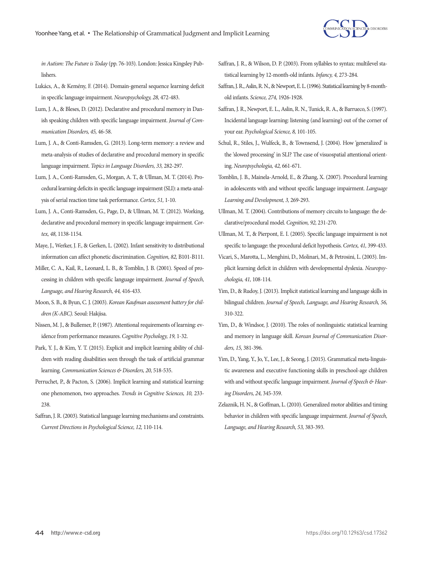

*in Autism: The Future is Today* (pp. 76-103). London: Jessica Kingsley Publishers.

- Lukács, A., & Kemény, F. (2014). Domain-general sequence learning deficit in specific language impairment. *Neuropsychology, 28,* 472-483.
- Lum, J. A., & Bleses, D. (2012). Declarative and procedural memory in Danish speaking children with specific language impairment. *Journal of Communication Disorders, 45,* 46-58.
- Lum, J. A., & Conti-Ramsden, G. (2013). Long-term memory: a review and meta-analysis of studies of declarative and procedural memory in specific language impairment. *Topics in Language Disorders, 33,* 282-297.
- Lum, J. A., Conti-Ramsden, G., Morgan, A. T., & Ullman, M. T. (2014). Procedural learning deficits in specific language impairment (SLI): a meta-analysis of serial reaction time task performance. *Cortex, 51,* 1-10.
- Lum, J. A., Conti-Ramsden, G., Page, D., & Ullman, M. T. (2012). Working, declarative and procedural memory in specific language impairment. *Cortex, 48,* 1138-1154.
- Maye, J., Werker, J. F., & Gerken, L. (2002). Infant sensitivity to distributional information can affect phonetic discrimination. *Cognition, 82,* B101-B111.
- Miller, C. A., Kail, R., Leonard, L. B., & Tomblin, J. B. (2001). Speed of processing in children with specific language impairment. *Journal of Speech, Language, and Hearing Research, 44,* 416-433.
- Moon, S. B., & Byun, C. J. (2003). *Korean Kaufman assessment battery for children (K-ABC).* Seoul: Hakjisa.
- Nissen, M. J., & Bullemer, P. (1987). Attentional requirements of learning: evidence from performance measures. *Cognitive Psychology, 19,* 1-32.
- Park, Y. J., & Kim, Y. T. (2015). Explicit and implicit learning ability of children with reading disabilities seen through the task of artificial grammar learning. *Communication Sciences & Disorders, 20,* 518-535.
- Perruchet, P., & Pacton, S. (2006). Implicit learning and statistical learning: one phenomenon, two approaches. *Trends in Cognitive Sciences, 10,* 233- 238.
- Saffran, J. R. (2003). Statistical language learning mechanisms and constraints. *Current Directions in Psychological Science, 12,* 110-114.
- Saffran, J. R., & Wilson, D. P. (2003). From syllables to syntax: multilevel statistical learning by 12‐month‐old infants. *Infancy, 4,* 273-284.
- Saffran, J. R., Aslin, R. N., & Newport, E. L. (1996). Statistical learning by 8-monthold infants. *Science, 274,* 1926-1928.
- Saffran, J. R., Newport, E. L., Aslin, R. N., Tunick, R. A., & Barrueco, S. (1997). Incidental language learning: listening (and learning) out of the corner of your ear. *Psychological Science, 8,* 101-105.
- Schul, R., Stiles, J., Wulfeck, B., & Townsend, J. (2004). How 'generalized' is the 'slowed processing' in SLI? The case of visuospatial attentional orienting. *Neuropsychologia, 42,* 661-671.
- Tomblin, J. B., Mainela-Arnold, E., & Zhang, X. (2007). Procedural learning in adolescents with and without specific language impairment. *Language Learning and Development, 3,* 269-293.
- Ullman, M. T. (2004). Contributions of memory circuits to language: the declarative/procedural model. *Cognition, 92,* 231-270.
- Ullman, M. T., & Pierpont, E. I. (2005). Specific language impairment is not specific to language: the procedural deficit hypothesis. *Cortex, 41,* 399-433.
- Vicari, S., Marotta, L., Menghini, D., Molinari, M., & Petrosini, L. (2003). Implicit learning deficit in children with developmental dyslexia. *Neuropsychologia, 41,* 108-114.
- Yim, D., & Rudoy, J. (2013). Implicit statistical learning and language skills in bilingual children. *Journal of Speech, Language, and Hearing Research, 56,*  310-322.
- Yim, D., & Windsor, J. (2010). The roles of nonlinguistic statistical learning and memory in language skill. *Korean Journal of Communication Disorders, 15,* 381-396.
- Yim, D., Yang, Y., Jo, Y., Lee, J., & Seong, J. (2015). Grammatical meta-linguistic awareness and executive functioning skills in preschool-age children with and without specific language impairment. *Journal of Speech & Hearing Disorders, 24,* 345-359.
- Zelaznik, H. N., & Goffman, L. (2010). Generalized motor abilities and timing behavior in children with specific language impairment. *Journal of Speech, Language, and Hearing Research, 53,* 383-393.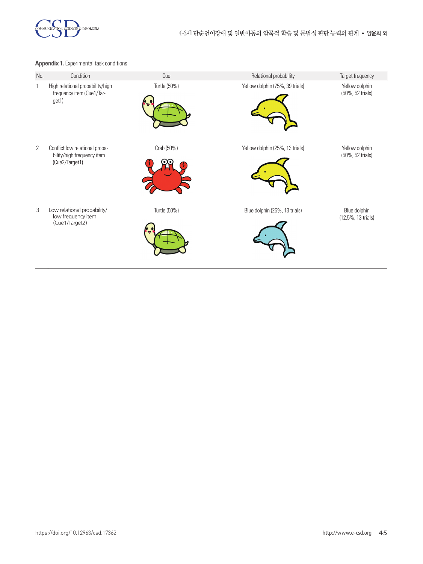

## **Appendix 1.** Experimental task conditions

| No.            | Condition                                                                      | Cue          | Relational probability          | Target frequency                   |
|----------------|--------------------------------------------------------------------------------|--------------|---------------------------------|------------------------------------|
| 1              | High relational probability/high<br>frequency item (Cue1/Tar-<br>get1)         | Turtle (50%) | Yellow dolphin (75%, 39 trials) | Yellow dolphin<br>(50%, 52 trials) |
| $\overline{2}$ | Conflict low relational proba-<br>bility/high frequency item<br>(Cue2/Target1) | Crab (50%)   | Yellow dolphin (25%, 13 trials) | Yellow dolphin<br>(50%, 52 trials) |
| 3              | Low relational probability/<br>low frequency item<br>(Cue1/Target2)            | Turtle (50%) | Blue dolphin (25%, 13 trials)   | Blue dolphin<br>(12.5%, 13 trials) |